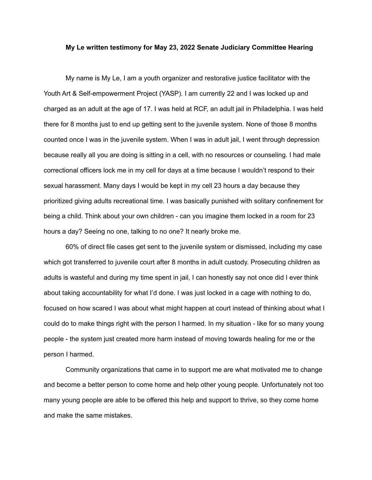## **My Le written testimony for May 23, 2022 Senate Judiciary Committee Hearing**

My name is My Le, I am a youth organizer and restorative justice facilitator with the Youth Art & Self-empowerment Project (YASP). I am currently 22 and I was locked up and charged as an adult at the age of 17. I was held at RCF, an adult jail in Philadelphia. I was held there for 8 months just to end up getting sent to the juvenile system. None of those 8 months counted once I was in the juvenile system. When I was in adult jail, I went through depression because really all you are doing is sitting in a cell, with no resources or counseling. I had male correctional officers lock me in my cell for days at a time because I wouldn't respond to their sexual harassment. Many days I would be kept in my cell 23 hours a day because they prioritized giving adults recreational time. I was basically punished with solitary confinement for being a child. Think about your own children - can you imagine them locked in a room for 23 hours a day? Seeing no one, talking to no one? It nearly broke me.

60% of direct file cases get sent to the juvenile system or dismissed, including my case which got transferred to juvenile court after 8 months in adult custody. Prosecuting children as adults is wasteful and during my time spent in jail, I can honestly say not once did I ever think about taking accountability for what I'd done. I was just locked in a cage with nothing to do, focused on how scared I was about what might happen at court instead of thinking about what I could do to make things right with the person I harmed. In my situation - like for so many young people - the system just created more harm instead of moving towards healing for me or the person I harmed.

Community organizations that came in to support me are what motivated me to change and become a better person to come home and help other young people. Unfortunately not too many young people are able to be offered this help and support to thrive, so they come home and make the same mistakes.